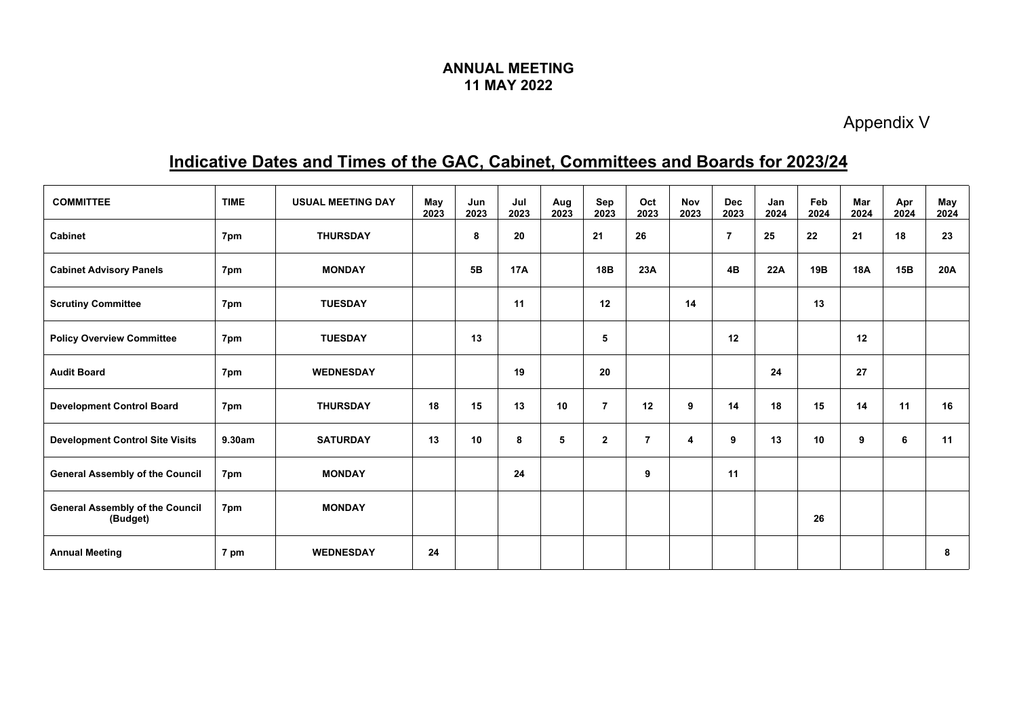## **ANNUAL MEETING 11 MAY 2022**

Appendix V

## **Indicative Dates and Times of the GAC, Cabinet, Committees and Boards for 2023/24**

| <b>COMMITTEE</b>                                   | <b>TIME</b> | <b>USUAL MEETING DAY</b> | May<br>2023 | Jun<br>2023 | Jul<br>2023 | Aug<br>2023 | Sep<br>2023             | Oct<br>2023    | <b>Nov</b><br>2023 | <b>Dec</b><br>2023 | Jan<br>2024 | Feb<br>2024 | Mar<br>2024 | Apr<br>2024 | May<br>2024 |
|----------------------------------------------------|-------------|--------------------------|-------------|-------------|-------------|-------------|-------------------------|----------------|--------------------|--------------------|-------------|-------------|-------------|-------------|-------------|
| <b>Cabinet</b>                                     | 7pm         | <b>THURSDAY</b>          |             | 8           | 20          |             | 21                      | 26             |                    | $\overline{7}$     | 25          | 22          | 21          | 18          | 23          |
| <b>Cabinet Advisory Panels</b>                     | 7pm         | <b>MONDAY</b>            |             | 5B          | <b>17A</b>  |             | 18B                     | 23A            |                    | 4B                 | 22A         | 19B         | <b>18A</b>  | 15B         | 20A         |
| <b>Scrutiny Committee</b>                          | 7pm         | <b>TUESDAY</b>           |             |             | 11          |             | 12                      |                | 14                 |                    |             | 13          |             |             |             |
| <b>Policy Overview Committee</b>                   | 7pm         | <b>TUESDAY</b>           |             | 13          |             |             | 5                       |                |                    | 12                 |             |             | 12          |             |             |
| <b>Audit Board</b>                                 | 7pm         | <b>WEDNESDAY</b>         |             |             | 19          |             | 20                      |                |                    |                    | 24          |             | 27          |             |             |
| <b>Development Control Board</b>                   | 7pm         | <b>THURSDAY</b>          | 18          | 15          | 13          | 10          | $\overline{7}$          | 12             | 9                  | 14                 | 18          | 15          | 14          | 11          | 16          |
| <b>Development Control Site Visits</b>             | 9.30am      | <b>SATURDAY</b>          | 13          | 10          | 8           | 5           | $\overline{\mathbf{2}}$ | $\overline{7}$ | 4                  | 9                  | 13          | 10          | 9           | 6           | 11          |
| <b>General Assembly of the Council</b>             | 7pm         | <b>MONDAY</b>            |             |             | 24          |             |                         | 9              |                    | 11                 |             |             |             |             |             |
| <b>General Assembly of the Council</b><br>(Budget) | 7pm         | <b>MONDAY</b>            |             |             |             |             |                         |                |                    |                    |             | 26          |             |             |             |
| <b>Annual Meeting</b>                              | 7 pm        | <b>WEDNESDAY</b>         | 24          |             |             |             |                         |                |                    |                    |             |             |             |             | 8           |